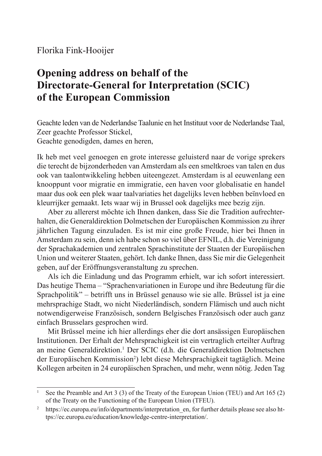## Florika Fink-Hooijer

# **Opening address on behalf of the Directorate-General for Interpretation (SCIC) of the European Commission**

Geachte leden van de Nederlandse Taalunie en het Instituut voor de Nederlandse Taal, Zeer geachte Professor Stickel, Geachte genodigden, dames en heren,

Ik heb met veel genoegen en grote interesse geluisterd naar de vorige sprekers die terecht de bijzonderheden van Amsterdam als een smeltkroes van talen en dus ook van taalontwikkeling hebben uiteengezet. Amsterdam is al eeuwenlang een knooppunt voor migratie en immigratie, een haven voor globalisatie en handel maar dus ook een plek waar taalvariaties het dagelijks leven hebben beïnvloed en kleurrijker gemaakt. Iets waar wij in Brussel ook dagelijks mee bezig zijn.

Aber zu allererst möchte ich Ihnen danken, dass Sie die Tradition aufrechterhalten, die Generaldirektion Dolmetschen der Europäischen Kommission zu ihrer jährlichen Tagung einzuladen. Es ist mir eine große Freude, hier bei Ihnen in Amsterdam zu sein, denn ich habe schon so viel über EFNIL, d.h. die Vereinigung der Sprachakademien und zentralen Sprachinstitute der Staaten der Europäischen Union und weiterer Staaten, gehört. Ich danke Ihnen, dass Sie mir die Gelegenheit geben, auf der Eröffnungsveranstaltung zu sprechen.

Als ich die Einladung und das Programm erhielt, war ich sofort interessiert. Das heutige Thema – "Sprachenvariationen in Europe und ihre Bedeutung für die Sprachpolitik" – betrifft uns in Brüssel genauso wie sie alle. Brüssel ist ja eine mehrsprachige Stadt, wo nicht Niederländisch, sondern Flämisch und auch nicht notwendigerweise Französisch, sondern Belgisches Französisch oder auch ganz einfach Brusselars gesprochen wird.

Mit Brüssel meine ich hier allerdings eher die dort ansässigen Europäischen Institutionen. Der Erhalt der Mehrsprachigkeit ist ein vertraglich erteilter Auftrag an meine Generaldirektion.<sup>1</sup> Der SCIC (d.h. die Generaldirektion Dolmetschen der Europäischen Kommission<sup>2</sup>) lebt diese Mehrsprachigkeit tagtäglich. Meine Kollegen arbeiten in 24 europäischen Sprachen, und mehr, wenn nötig. Jeden Tag

<sup>1</sup> See the Preamble and Art 3 (3) of the Treaty of the European Union (TEU) and Art 165 (2) of the Treaty on the Functioning of the European Union (TFEU).

<sup>&</sup>lt;sup>2</sup> https://ec.europa.eu/info/departments/interpretation en. for further details please see also https://ec.europa.eu/education/knowledge-centre-interpretation/.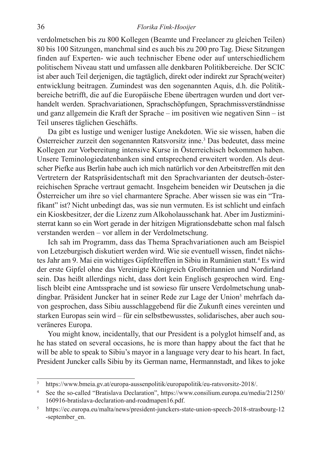#### 36 *Florika Fink-Hooijer*

verdolmetschen bis zu 800 Kollegen (Beamte und Freelancer zu gleichen Teilen) 80 bis 100 Sitzungen, manchmal sind es auch bis zu 200 pro Tag. Diese Sitzungen finden auf Experten- wie auch technischer Ebene oder auf unterschiedlichem politischem Niveau statt und umfassen alle denkbaren Politikbereiche. Der SCIC ist aber auch Teil derjenigen, die tagtäglich, direkt oder indirekt zur Sprach(weiter) entwicklung beitragen. Zumindest was den sogenannten Aquis, d.h. die Politikbereiche betrifft, die auf die Europäische Ebene übertragen wurden und dort verhandelt werden. Sprachvariationen, Sprachschöpfungen, Sprachmissverständnisse und ganz allgemein die Kraft der Sprache – im positiven wie negativen Sinn – ist Teil unseres täglichen Geschäfts.

Da gibt es lustige und weniger lustige Anekdoten. Wie sie wissen, haben die Österreicher zurzeit den sogenannten Ratsvorsitz inne.3 Das bedeutet, dass meine Kollegen zur Vorbereitung intensive Kurse in Österreichisch bekommen haben. Unsere Teminologiedatenbanken sind entsprechend erweitert worden. Als deutscher Piefke aus Berlin habe auch ich mich natürlich vor den Arbeitstreffen mit den Vertretern der Ratspräsidentschaft mit den Sprachvarianten der deutsch-österreichischen Sprache vertraut gemacht. Insgeheim beneiden wir Deutschen ja die Österreicher um ihre so viel charmantere Sprache. Aber wissen sie was ein "Trafikant" ist? Nicht unbedingt das, was sie nun vermuten. Es ist schlicht und einfach ein Kioskbesitzer, der die Lizenz zum Alkoholausschank hat. Aber im Justizministerrat kann so ein Wort gerade in der hitzigen Migrationsdebatte schon mal falsch verstanden werden – vor allem in der Verdolmetschung.

Ich sah im Programm, dass das Thema Sprachvariationen auch am Beispiel von Letzeburgisch diskutiert werden wird. Wie sie eventuell wissen, findet nächstes Jahr am 9. Mai ein wichtiges Gipfeltreffen in Sibiu in Rumänien statt.4 Es wird der erste Gipfel ohne das Vereinigte Königreich Großbritannien und Nordirland sein. Das heißt allerdings nicht, dass dort kein Englisch gesprochen wird. Englisch bleibt eine Amtssprache und ist sowieso für unsere Verdolmetschung unabdingbar. Präsident Juncker hat in seiner Rede zur Lage der Union<sup>5</sup> mehrfach davon gesprochen, dass Sibiu ausschlaggebend für die Zukunft eines vereinten und starken Europas sein wird – für ein selbstbewusstes, solidarisches, aber auch souveräneres Europa.

You might know, incidentally, that our President is a polyglot himself and, as he has stated on several occasions, he is more than happy about the fact that he will be able to speak to Sibiu's mayor in a language very dear to his heart. In fact, President Juncker calls Sibiu by its German name, Hermannstadt, and likes to joke

<sup>3</sup> https://www.bmeia.gv.at/europa-aussenpolitik/europapolitik/eu-ratsvorsitz-2018/.

See the so-called "Bratislava Declaration", https://www.consilium.europa.eu/media/21250/ 160916-bratislava-declaration-and-roadmapen16.pdf.

<sup>5</sup> https://ec.europa.eu/malta/news/president-junckers-state-union-speech-2018-strasbourg-12 -september\_en.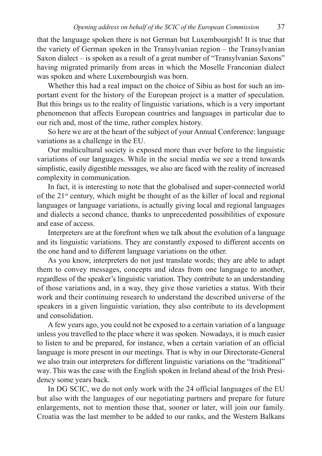that the language spoken there is not German but Luxembourgish! It is true that the variety of German spoken in the Transylvanian region – the Transylvanian Saxon dialect – is spoken as a result of a great number of "Transylvanian Saxons" having migrated primarily from areas in which the Moselle Franconian dialect was spoken and where Luxembourgish was born.

Whether this had a real impact on the choice of Sibiu as host for such an important event for the history of the European project is a matter of speculation. But this brings us to the reality of linguistic variations, which is a very important phenomenon that affects European countries and languages in particular due to our rich and, most of the time, rather complex history.

So here we are at the heart of the subject of your Annual Conference: language variations as a challenge in the EU.

Our multicultural society is exposed more than ever before to the linguistic variations of our languages. While in the social media we see a trend towards simplistic, easily digestible messages, we also are faced with the reality of increased complexity in communication.

In fact, it is interesting to note that the globalised and super-connected world of the 21st century, which might be thought of as the killer of local and regional languages or language variations, is actually giving local and regional languages and dialects a second chance, thanks to unprecedented possibilities of exposure and ease of access.

Interpreters are at the forefront when we talk about the evolution of a language and its linguistic variations. They are constantly exposed to different accents on the one hand and to different language variations on the other.

As you know, interpreters do not just translate words; they are able to adapt them to convey messages, concepts and ideas from one language to another, regardless of the speaker's linguistic variation. They contribute to an understanding of those variations and, in a way, they give those varieties a status. With their work and their continuing research to understand the described universe of the speakers in a given linguistic variation, they also contribute to its development and consolidation.

A few years ago, you could not be exposed to a certain variation of a language unless you travelled to the place where it was spoken. Nowadays, it is much easier to listen to and be prepared, for instance, when a certain variation of an official language is more present in our meetings. That is why in our Directorate-General we also train our interpreters for different linguistic variations on the "traditional" way. This was the case with the English spoken in Ireland ahead of the Irish Presidency some years back.

In DG SCIC, we do not only work with the 24 official languages of the EU but also with the languages of our negotiating partners and prepare for future enlargements, not to mention those that, sooner or later, will join our family. Croatia was the last member to be added to our ranks, and the Western Balkans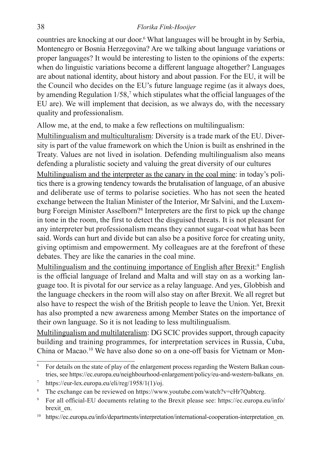#### 38 *Florika Fink-Hooijer*

countries are knocking at our door.6 What languages will be brought in by Serbia, Montenegro or Bosnia Herzegovina? Are we talking about language variations or proper languages? It would be interesting to listen to the opinions of the experts: when do linguistic variations become a different language altogether? Languages are about national identity, about history and about passion. For the EU, it will be the Council who decides on the EU's future language regime (as it always does, by amending Regulation 1/58,<sup>7</sup> which stipulates what the official languages of the EU are). We will implement that decision, as we always do, with the necessary quality and professionalism.

Allow me, at the end, to make a few reflections on multilingualism:

Multilingualism and multiculturalism: Diversity is a trade mark of the EU. Diversity is part of the value framework on which the Union is built as enshrined in the Treaty. Values are not lived in isolation. Defending multilingualism also means defending a pluralistic society and valuing the great diversity of our cultures

Multilingualism and the interpreter as the canary in the coal mine: in today's politics there is a growing tendency towards the brutalisation of language, of an abusive and deliberate use of terms to polarise societies. Who has not seen the heated exchange between the Italian Minister of the Interior, Mr Salvini, and the Luxemburg Foreign Minister Asselborn?8 Interpreters are the first to pick up the change in tone in the room, the first to detect the disguised threats. It is not pleasant for any interpreter but professionalism means they cannot sugar-coat what has been said. Words can hurt and divide but can also be a positive force for creating unity, giving optimism and empowerment. My colleagues are at the forefront of these debates. They are like the canaries in the coal mine.

Multilingualism and the continuing importance of English after Brexit:<sup>9</sup> English is the official language of Ireland and Malta and will stay on as a working language too. It is pivotal for our service as a relay language. And yes, Globbish and the language checkers in the room will also stay on after Brexit. We all regret but also have to respect the wish of the British people to leave the Union. Yet, Brexit has also prompted a new awareness among Member States on the importance of their own language. So it is not leading to less multilingualism.

Multilingualism and multilateralism: DG SCIC provides support, through capacity building and training programmes, for interpretation services in Russia, Cuba, China or Macao.10 We have also done so on a one-off basis for Vietnam or Mon-

<sup>&</sup>lt;sup>6</sup> For details on the state of play of the enlargement process regarding the Western Balkan countries, see https://ec.europa.eu/neighbourhood-enlargement/policy/eu-and-western-balkans\_en.

https://eur-lex.europa.eu/eli/reg/1958/1(1)/oj.

The exchange can be reviewed on https://www.youtube.com/watch?v=cHr7Qabtcrg.

<sup>9</sup> For all official-EU documents relating to the Brexit please see: https://ec.europa.eu/info/ brexit\_en.

<sup>&</sup>lt;sup>10</sup> https://ec.europa.eu/info/departments/interpretation/international-cooperation-interpretation en.